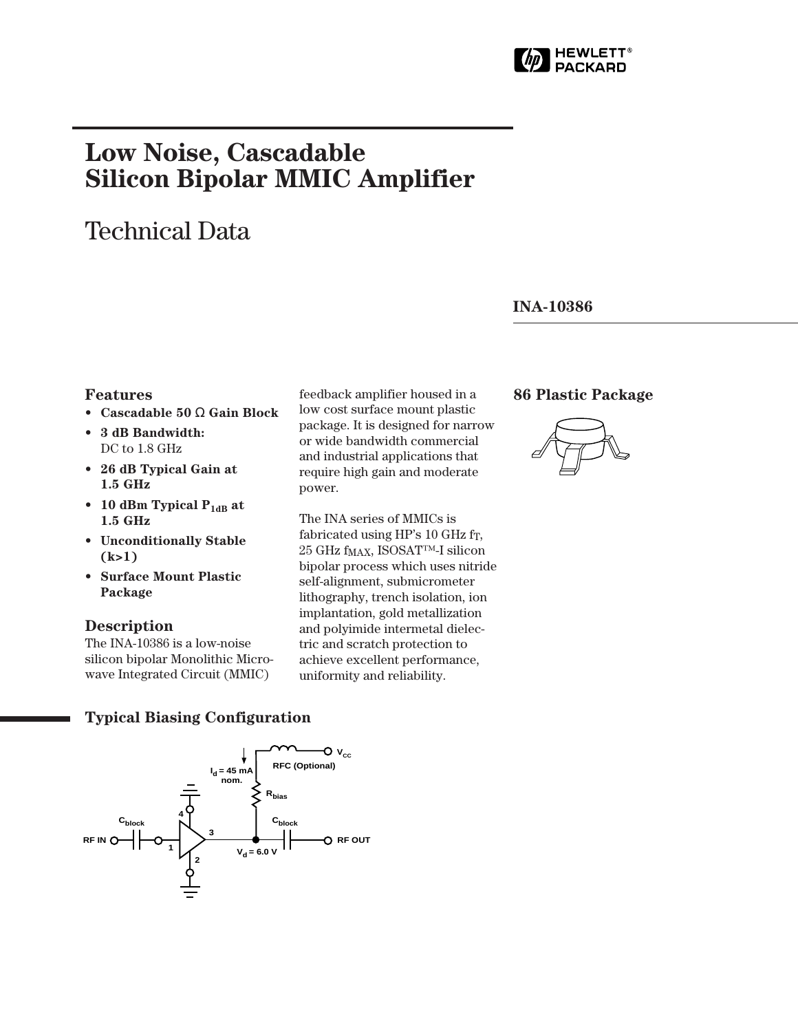

# **Low Noise, Cascadable Silicon Bipolar MMIC Amplifier**

## Technical Data

#### **INA-10386**

#### **Features**

- **Cascadable 50** Ω **Gain Block**
- **3 dB Bandwidth:** DC to 1.8 GHz
- **26 dB Typical Gain at 1.5␣ GHz**
- 10 dBm Typical P<sub>1dB</sub> at **1.5␣ GHz**
- **Unconditionally Stable (k>1)**
- **Surface Mount Plastic Package**

#### **Description**

The INA-10386 is a low-noise silicon bipolar Monolithic Microwave Integrated Circuit (MMIC)

feedback amplifier housed in a low cost surface mount plastic package. It is designed for narrow or wide bandwidth commercial and industrial applications that require high gain and moderate power.

The INA series of MMICs is fabricated using HP's 10 GHz f<sub>T</sub>, 25␣ GHz fMAX, ISOSAT™-I silicon bipolar process which uses nitride self-alignment, submicrometer lithography, trench isolation, ion implantation, gold metallization and polyimide intermetal dielectric and scratch protection to achieve excellent performance, uniformity and reliability.

#### **86 Plastic Package**



#### **Typical Biasing Configuration**

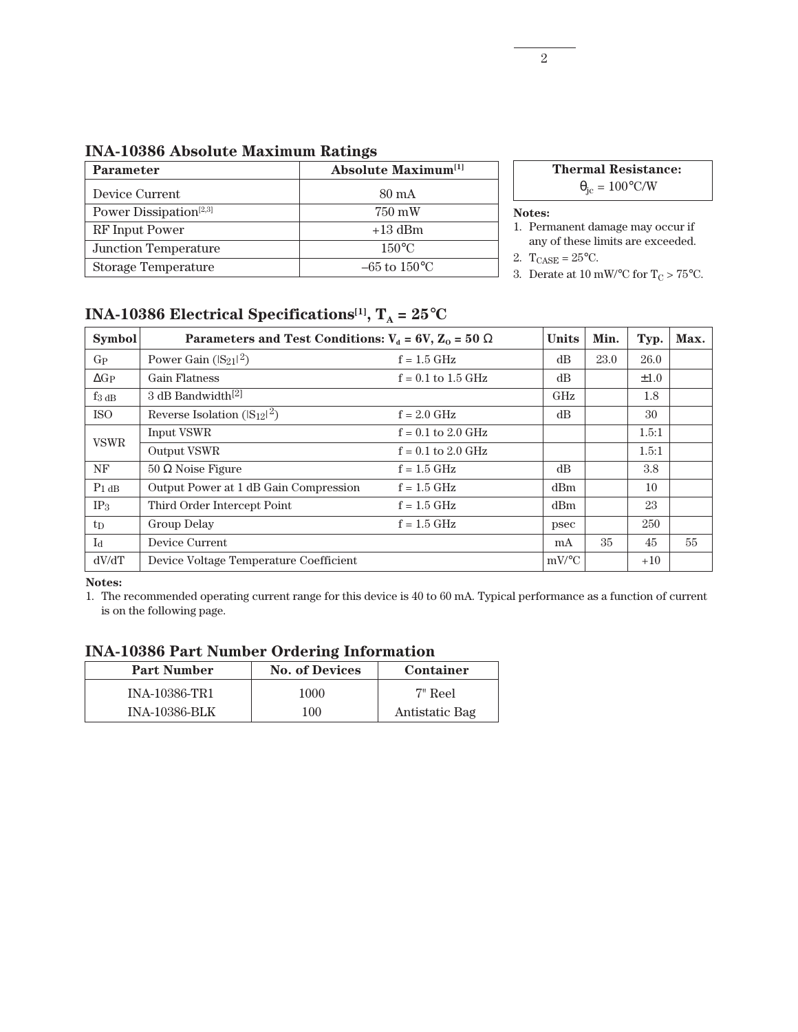| <b>Parameter</b>                   | <b>Absolute Maximum</b> <sup>[1]</sup> | Ther                              |
|------------------------------------|----------------------------------------|-----------------------------------|
| Device Current                     | $80 \text{ mA}$                        |                                   |
| Power Dissipation <sup>[2,3]</sup> | 750 mW                                 | Notes:                            |
| RF Input Power                     | $+13$ dBm                              | 1. Permanen                       |
| <b>Junction Temperature</b>        | $150^{\circ}$ C                        | any of the                        |
| <b>Storage Temperature</b>         | $-65$ to $150^{\circ}$ C               | 2. $T_{CASE} = 25$<br>3 Derate at |

**Thermal Resistance:**

 $\theta_{\rm jc} = 100^{\circ}$ C/W

- it damage may occur if se limits are exceeded.
- $5^{\circ}$ C.
- 3. Derate at  $10\text{ }\mathrm{mW}/^{\circ}\mathrm{C}$  for  $\mathrm{T_{C}} > 75^{\circ}\mathrm{C}.$

### **INA-10386 Electrical Specifications<sup>[1]</sup>,**  $T_A = 25^{\circ}C$

| <b>Symbol</b>   | Parameters and Test Conditions: $V_a = 6V$ , $Z_0 = 50 \Omega$ | <b>Units</b>         | Min.                | Typ. | Max.      |    |
|-----------------|----------------------------------------------------------------|----------------------|---------------------|------|-----------|----|
| $G_{\rm P}$     | Power Gain $( S_{21} ^2)$                                      | $f = 1.5$ GHz        | dB                  | 23.0 | 26.0      |    |
| $\Delta G_P$    | <b>Gain Flatness</b>                                           | $f = 0.1$ to 1.5 GHz | dB                  |      | $\pm 1.0$ |    |
| $f_{3 dB}$      | 3 dB Bandwidth <sup>[2]</sup>                                  |                      | GHz                 |      | 1.8       |    |
| <b>ISO</b>      | Reverse Isolation $(S_{12} ^2)$                                | $f = 2.0$ GHz        | dB                  |      | 30        |    |
| <b>VSWR</b>     | <b>Input VSWR</b>                                              | $f = 0.1$ to 2.0 GHz |                     |      | 1.5:1     |    |
|                 | Output VSWR                                                    | $f = 0.1$ to 2.0 GHz |                     |      | 1.5:1     |    |
| NF              | $50 \Omega$ Noise Figure                                       | $f = 1.5$ GHz        | dB                  |      | 3.8       |    |
| $P_1$ dB        | Output Power at 1 dB Gain Compression                          | $f = 1.5$ GHz        | dBm                 |      | 10        |    |
| IP <sub>3</sub> | Third Order Intercept Point                                    | $f = 1.5$ GHz        | dBm                 |      | 23        |    |
| $t_{D}$         | <b>Group Delay</b>                                             | $f = 1.5$ GHz        | psec                |      | 250       |    |
| $I_d$           | Device Current                                                 |                      | mA                  | 35   | 45        | 55 |
| dV/dT           | Device Voltage Temperature Coefficient                         |                      | $mV$ <sup>o</sup> C |      | $+10$     |    |

**Notes:**

1. The recommended operating current range for this device is 40 to 60 mA. Typical performance as a function of current is on the following page.

#### **INA-10386 Part Number Ordering Information**

| <b>Part Number</b>   | <b>No. of Devices</b> | Container      |  |  |  |  |  |  |
|----------------------|-----------------------|----------------|--|--|--|--|--|--|
| <b>INA-10386-TR1</b> | 1000                  | 7" Reel        |  |  |  |  |  |  |
| <b>INA-10386-BLK</b> | $100\,$               | Antistatic Bag |  |  |  |  |  |  |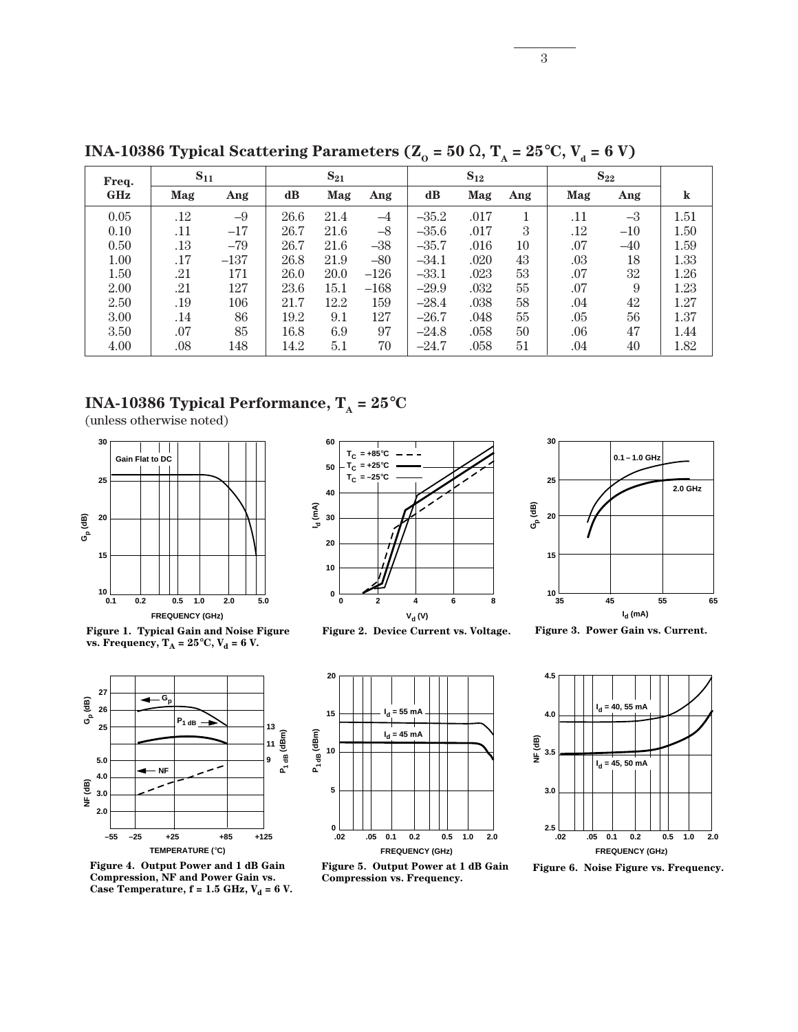| Freq.      | $S_{11}$ |        | $S_{21}$      |      | $S_{12}$ |               |      | $\mathbf{S_{22}}$ |         |       |         |
|------------|----------|--------|---------------|------|----------|---------------|------|-------------------|---------|-------|---------|
| <b>GHz</b> | Mag      | Ang    | $\mathbf{dB}$ | Mag  | Ang      | $\mathbf{dB}$ | Mag  | Ang               | Mag     | Ang   | $\bf k$ |
| 0.05       | .12      | $-9$   | 26.6          | 21.4 | $-4$     | $-35.2$       | .017 |                   | .11     | $-3$  | 1.51    |
| 0.10       | .11      | $-17$  | 26.7          | 21.6 | $-8$     | $-35.6$       | .017 | 3                 | .12     | $-10$ | 1.50    |
| 0.50       | .13      | $-79$  | 26.7          | 21.6 | $-38$    | $-35.7$       | .016 | 10                | .07     | $-40$ | 1.59    |
| 1.00       | .17      | $-137$ | 26.8          | 21.9 | $-80$    | $-34.1$       | .020 | 43                | $.03\,$ | 18    | 1.33    |
| 1.50       | .21      | 171    | 26.0          | 20.0 | $-126$   | $-33.1$       | .023 | 53                | .07     | 32    | 1.26    |
| 2.00       | .21      | 127    | 23.6          | 15.1 | $-168$   | $-29.9$       | .032 | 55                | .07     | 9     | 1.23    |
| 2.50       | .19      | 106    | 21.7          | 12.2 | 159      | $-28.4$       | .038 | 58                | .04     | 42    | 1.27    |
| 3.00       | .14      | 86     | 19.2          | 9.1  | 127      | $-26.7$       | .048 | 55                | .05     | 56    | 1.37    |
| 3.50       | .07      | 85     | 16.8          | 6.9  | 97       | $-24.8$       | .058 | 50                | .06     | 47    | 1.44    |
| 4.00       | $.08\,$  | 148    | 14.2          | 5.1  | 70       | $-24.7$       | .058 | 51                | .04     | 40    | 1.82    |

**INA-10386 Typical Scattering Parameters (** $\mathbb{Z}_0 = 50 \Omega$ **,**  $\mathbb{T}_A = 25^{\circ} \text{C}$ **,**  $\mathbb{V}_d = 6 \text{ V}$ **)** 

### **INA-10386 Typical Performance,**  $T_A = 25^{\circ}C$

(unless otherwise noted)



**Figure 1. Typical Gain and Noise Figure**  vs. Frequency,  $T_A = 25^{\circ}C$ ,  $V_d = 6 V$ .



**Figure 4. Output Power and 1 dB Gain Compression, NF and Power Gain vs.**  Case Temperature,  $f = 1.5$  GHz,  $V_d = 6$  V.



**Figure 2. Device Current vs. Voltage.**







**Figure 3. Power Gain vs. Current.**